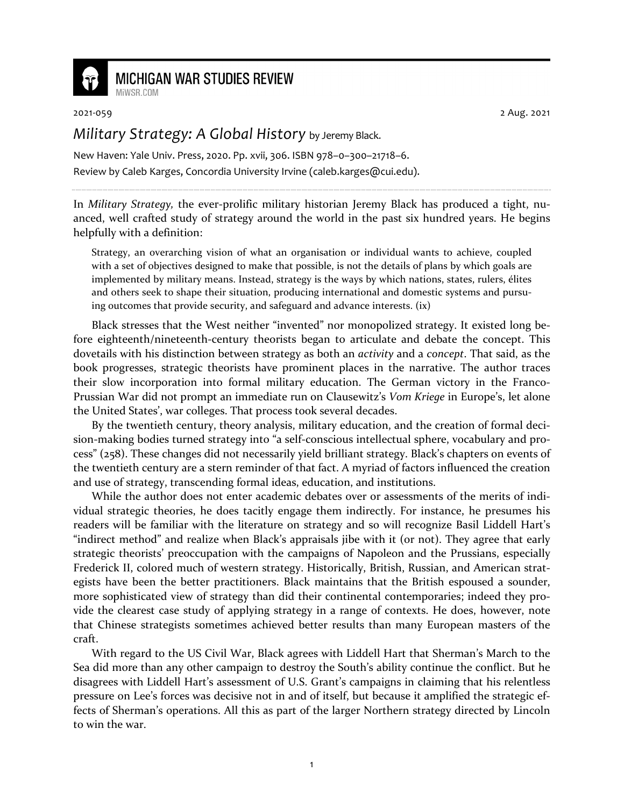

## **MICHIGAN WAR STUDIES REVIEW**

MiWSR COM

2021-059 2 Aug. 2021

## *Military Strategy: A Global History* by Jeremy Black.

New Haven: Yale Univ. Press, 2020. Pp. xvii, 306. ISBN 978–0–300–21718–6. Review by Caleb Karges, Concordia University Irvine (caleb.karges@cui.edu).

In *Military Strategy,* the ever-prolific military historian Jeremy Black has produced a tight, nuanced, well crafted study of strategy around the world in the past six hundred years. He begins helpfully with a definition:

Strategy, an overarching vision of what an organisation or individual wants to achieve, coupled with a set of objectives designed to make that possible, is not the details of plans by which goals are implemented by military means. Instead, strategy is the ways by which nations, states, rulers, élites and others seek to shape their situation, producing international and domestic systems and pursuing outcomes that provide security, and safeguard and advance interests. (ix)

Black stresses that the West neither "invented" nor monopolized strategy. It existed long before eighteenth/nineteenth-century theorists began to articulate and debate the concept. This dovetails with his distinction between strategy as both an *activity* and a *concept*. That said, as the book progresses, strategic theorists have prominent places in the narrative. The author traces their slow incorporation into formal military education. The German victory in the Franco-Prussian War did not prompt an immediate run on Clausewitz's *Vom Kriege* in Europe's, let alone the United States', war colleges. That process took several decades.

By the twentieth century, theory analysis, military education, and the creation of formal decision-making bodies turned strategy into "a self-conscious intellectual sphere, vocabulary and process" (258). These changes did not necessarily yield brilliant strategy. Black's chapters on events of the twentieth century are a stern reminder of that fact. A myriad of factors influenced the creation and use of strategy, transcending formal ideas, education, and institutions.

While the author does not enter academic debates over or assessments of the merits of individual strategic theories, he does tacitly engage them indirectly. For instance, he presumes his readers will be familiar with the literature on strategy and so will recognize Basil Liddell Hart's "indirect method" and realize when Black's appraisals jibe with it (or not). They agree that early strategic theorists' preoccupation with the campaigns of Napoleon and the Prussians, especially Frederick II, colored much of western strategy. Historically, British, Russian, and American strategists have been the better practitioners. Black maintains that the British espoused a sounder, more sophisticated view of strategy than did their continental contemporaries; indeed they provide the clearest case study of applying strategy in a range of contexts. He does, however, note that Chinese strategists sometimes achieved better results than many European masters of the craft.

With regard to the US Civil War, Black agrees with Liddell Hart that Sherman's March to the Sea did more than any other campaign to destroy the South's ability continue the conflict. But he disagrees with Liddell Hart's assessment of U.S. Grant's campaigns in claiming that his relentless pressure on Lee's forces was decisive not in and of itself, but because it amplified the strategic effects of Sherman's operations. All this as part of the larger Northern strategy directed by Lincoln to win the war.